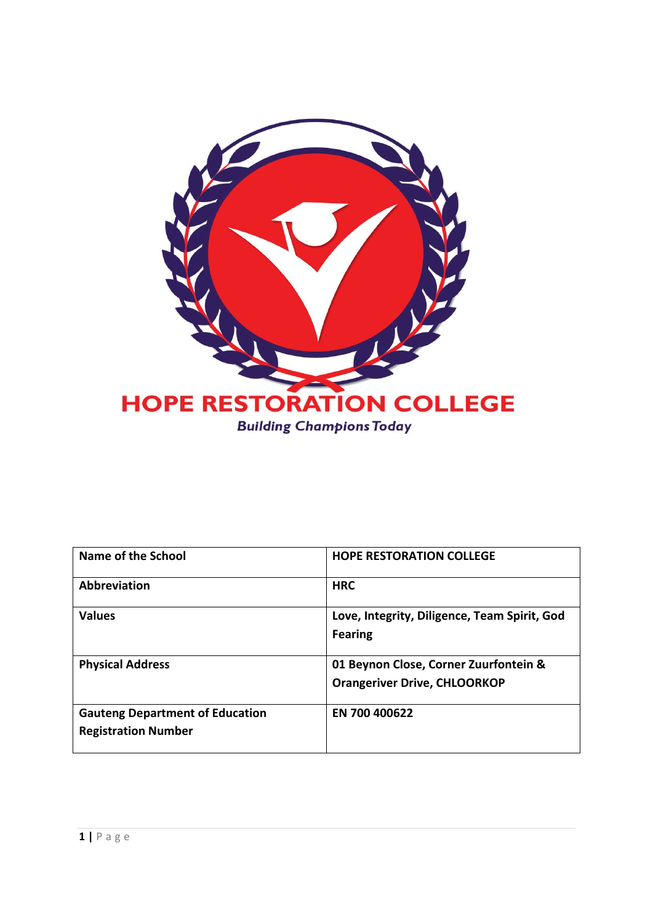

| Name of the School                     | <b>HOPE RESTORATION COLLEGE</b>              |
|----------------------------------------|----------------------------------------------|
| <b>Abbreviation</b>                    | <b>HRC</b>                                   |
| <b>Values</b>                          | Love, Integrity, Diligence, Team Spirit, God |
|                                        | <b>Fearing</b>                               |
| <b>Physical Address</b>                | 01 Beynon Close, Corner Zuurfontein &        |
|                                        | <b>Orangeriver Drive, CHLOORKOP</b>          |
| <b>Gauteng Department of Education</b> | EN 700 400622                                |
| <b>Registration Number</b>             |                                              |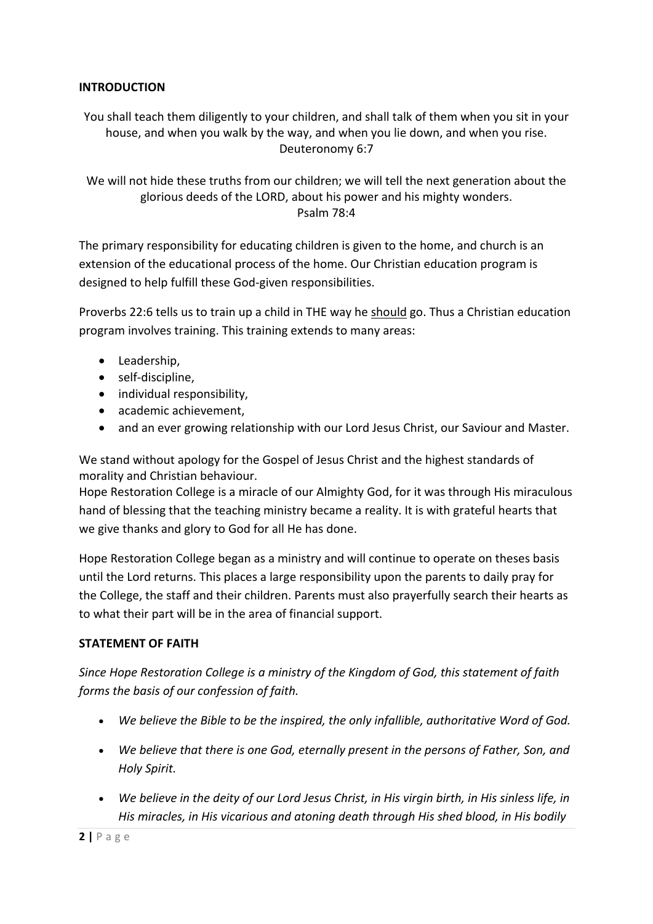# **INTRODUCTION**

You shall teach them diligently to your children, and shall talk of them when you sit in your house, and when you walk by the way, and when you lie down, and when you rise. Deuteronomy 6:7

We will not hide these truths from our children; we will tell the next generation about the glorious deeds of the LORD, about his power and his mighty wonders. Psalm 78:4

The primary responsibility for educating children is given to the home, and church is an extension of the educational process of the home. Our Christian education program is designed to help fulfill these God-given responsibilities.

Proverbs 22:6 tells us to train up a child in THE way he should go. Thus a Christian education program involves training. This training extends to many areas:

- Leadership,
- self-discipline,
- individual responsibility,
- academic achievement,
- and an ever growing relationship with our Lord Jesus Christ, our Saviour and Master.

We stand without apology for the Gospel of Jesus Christ and the highest standards of morality and Christian behaviour.

Hope Restoration College is a miracle of our Almighty God, for it was through His miraculous hand of blessing that the teaching ministry became a reality. It is with grateful hearts that we give thanks and glory to God for all He has done.

Hope Restoration College began as a ministry and will continue to operate on theses basis until the Lord returns. This places a large responsibility upon the parents to daily pray for the College, the staff and their children. Parents must also prayerfully search their hearts as to what their part will be in the area of financial support.

# **STATEMENT OF FAITH**

*Since Hope Restoration College is a ministry of the Kingdom of God, this statement of faith forms the basis of our confession of faith.*

- *We believe the Bible to be the inspired, the only infallible, authoritative Word of God.*
- *We believe that there is one God, eternally present in the persons of Father, Son, and Holy Spirit.*
- *We believe in the deity of our Lord Jesus Christ, in His virgin birth, in His sinless life, in His miracles, in His vicarious and atoning death through His shed blood, in His bodily*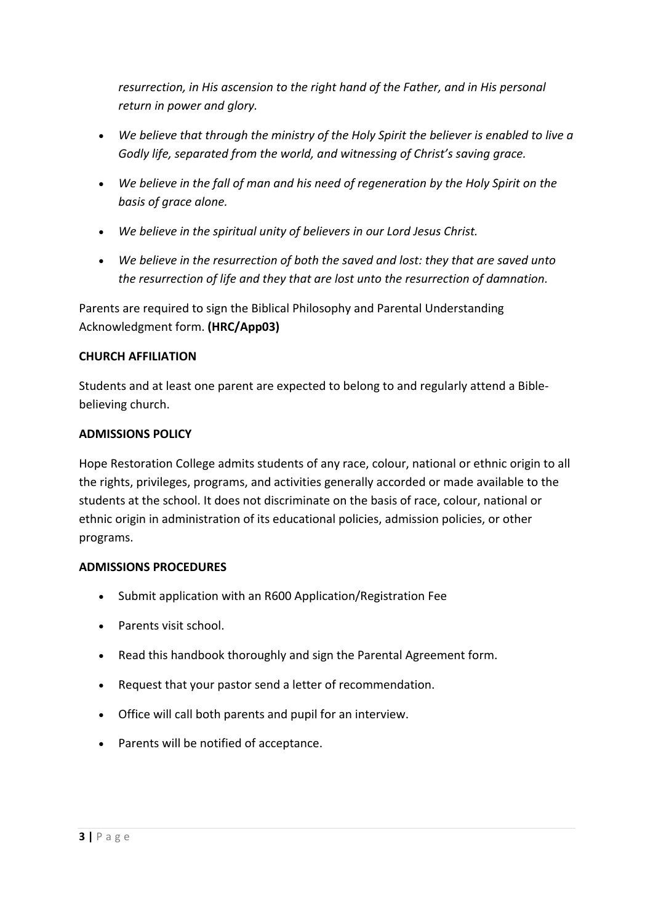*resurrection, in His ascension to the right hand of the Father, and in His personal return in power and glory.*

- *We believe that through the ministry of the Holy Spirit the believer is enabled to live a Godly life, separated from the world, and witnessing of Christ's saving grace.*
- *We believe in the fall of man and his need of regeneration by the Holy Spirit on the basis of grace alone.*
- *We believe in the spiritual unity of believers in our Lord Jesus Christ.*
- *We believe in the resurrection of both the saved and lost: they that are saved unto the resurrection of life and they that are lost unto the resurrection of damnation.*

Parents are required to sign the Biblical Philosophy and Parental Understanding Acknowledgment form. **(HRC/App03)**

# **CHURCH AFFILIATION**

Students and at least one parent are expected to belong to and regularly attend a Biblebelieving church.

# **ADMISSIONS POLICY**

Hope Restoration College admits students of any race, colour, national or ethnic origin to all the rights, privileges, programs, and activities generally accorded or made available to the students at the school. It does not discriminate on the basis of race, colour, national or ethnic origin in administration of its educational policies, admission policies, or other programs.

# **ADMISSIONS PROCEDURES**

- Submit application with an R600 Application/Registration Fee
- Parents visit school.
- Read this handbook thoroughly and sign the Parental Agreement form.
- Request that your pastor send a letter of recommendation.
- Office will call both parents and pupil for an interview.
- Parents will be notified of acceptance.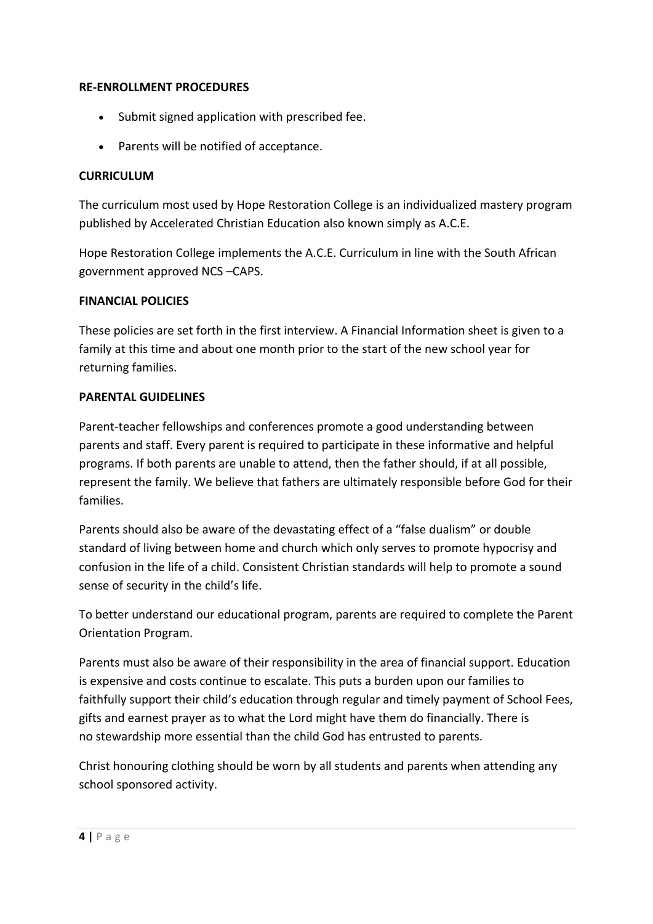#### **RE-ENROLLMENT PROCEDURES**

- Submit signed application with prescribed fee.
- Parents will be notified of acceptance.

## **CURRICULUM**

The curriculum most used by Hope Restoration College is an individualized mastery program published by Accelerated Christian Education also known simply as A.C.E.

Hope Restoration College implements the A.C.E. Curriculum in line with the South African government approved NCS –CAPS.

#### **FINANCIAL POLICIES**

These policies are set forth in the first interview. A Financial Information sheet is given to a family at this time and about one month prior to the start of the new school year for returning families.

#### **PARENTAL GUIDELINES**

Parent-teacher fellowships and conferences promote a good understanding between parents and staff. Every parent is required to participate in these informative and helpful programs. If both parents are unable to attend, then the father should, if at all possible, represent the family. We believe that fathers are ultimately responsible before God for their families.

Parents should also be aware of the devastating effect of a "false dualism" or double standard of living between home and church which only serves to promote hypocrisy and confusion in the life of a child. Consistent Christian standards will help to promote a sound sense of security in the child's life.

To better understand our educational program, parents are required to complete the Parent Orientation Program.

Parents must also be aware of their responsibility in the area of financial support. Education is expensive and costs continue to escalate. This puts a burden upon our families to faithfully support their child's education through regular and timely payment of School Fees, gifts and earnest prayer as to what the Lord might have them do financially. There is no stewardship more essential than the child God has entrusted to parents.

Christ honouring clothing should be worn by all students and parents when attending any school sponsored activity.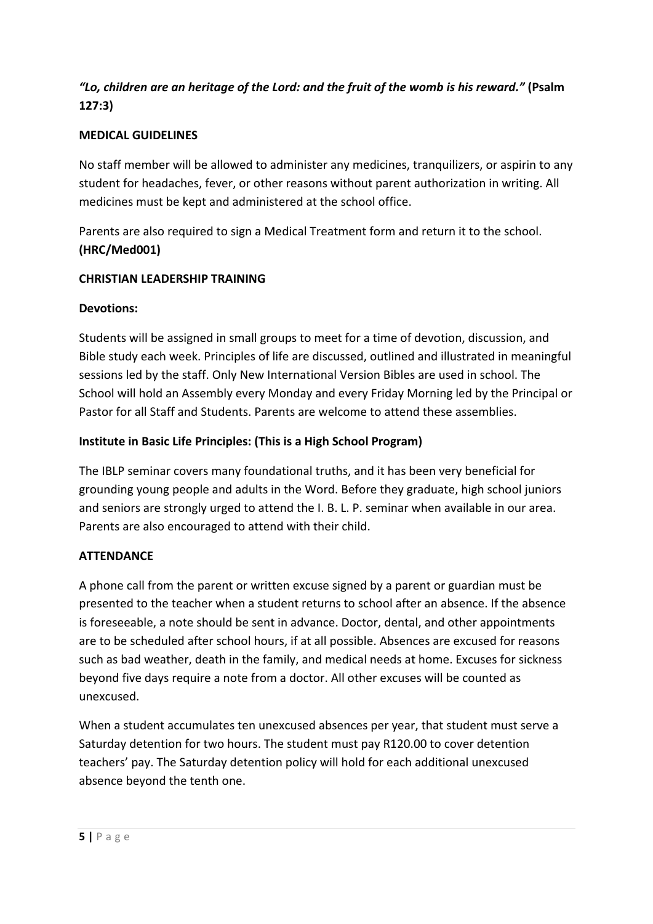# *"Lo, children are an heritage of the Lord: and the fruit of the womb is his reward."* **(Psalm 127:3)**

# **MEDICAL GUIDELINES**

No staff member will be allowed to administer any medicines, tranquilizers, or aspirin to any student for headaches, fever, or other reasons without parent authorization in writing. All medicines must be kept and administered at the school office.

Parents are also required to sign a Medical Treatment form and return it to the school. **(HRC/Med001)**

# **CHRISTIAN LEADERSHIP TRAINING**

# **Devotions:**

Students will be assigned in small groups to meet for a time of devotion, discussion, and Bible study each week. Principles of life are discussed, outlined and illustrated in meaningful sessions led by the staff. Only New International Version Bibles are used in school. The School will hold an Assembly every Monday and every Friday Morning led by the Principal or Pastor for all Staff and Students. Parents are welcome to attend these assemblies.

# **Institute in Basic Life Principles: (This is a High School Program)**

The IBLP seminar covers many foundational truths, and it has been very beneficial for grounding young people and adults in the Word. Before they graduate, high school juniors and seniors are strongly urged to attend the I. B. L. P. seminar when available in our area. Parents are also encouraged to attend with their child.

# **ATTENDANCE**

A phone call from the parent or written excuse signed by a parent or guardian must be presented to the teacher when a student returns to school after an absence. If the absence is foreseeable, a note should be sent in advance. Doctor, dental, and other appointments are to be scheduled after school hours, if at all possible. Absences are excused for reasons such as bad weather, death in the family, and medical needs at home. Excuses for sickness beyond five days require a note from a doctor. All other excuses will be counted as unexcused.

When a student accumulates ten unexcused absences per year, that student must serve a Saturday detention for two hours. The student must pay R120.00 to cover detention teachers' pay. The Saturday detention policy will hold for each additional unexcused absence beyond the tenth one.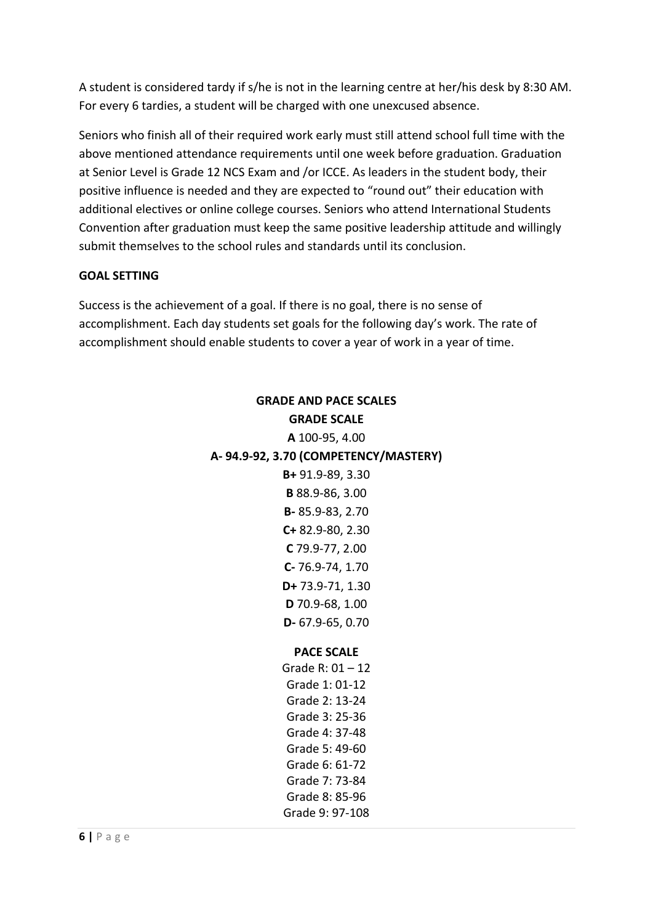A student is considered tardy if s/he is not in the learning centre at her/his desk by 8:30 AM. For every 6 tardies, a student will be charged with one unexcused absence.

Seniors who finish all of their required work early must still attend school full time with the above mentioned attendance requirements until one week before graduation. Graduation at Senior Level is Grade 12 NCS Exam and /or ICCE. As leaders in the student body, their positive influence is needed and they are expected to "round out" their education with additional electives or online college courses. Seniors who attend International Students Convention after graduation must keep the same positive leadership attitude and willingly submit themselves to the school rules and standards until its conclusion.

# **GOAL SETTING**

Success is the achievement of a goal. If there is no goal, there is no sense of accomplishment. Each day students set goals for the following day's work. The rate of accomplishment should enable students to cover a year of work in a year of time.

# **GRADE AND PACE SCALES GRADE SCALE A** 100-95, 4.00 **A- 94.9-92, 3.70 (COMPETENCY/MASTERY) B+** 91.9-89, 3.30 **B** 88.9-86, 3.00 **B-** 85.9-83, 2.70 **C+** 82.9-80, 2.30 **C** 79.9-77, 2.00 **C-** 76.9-74, 1.70 **D+** 73.9-71, 1.30 **D** 70.9-68, 1.00 **D-** 67.9-65, 0.70 **PACE SCALE** Grade R: 01 – 12 Grade 1: 01-12 Grade 2: 13-24 Grade 3: 25-36

Grade 4: 37-48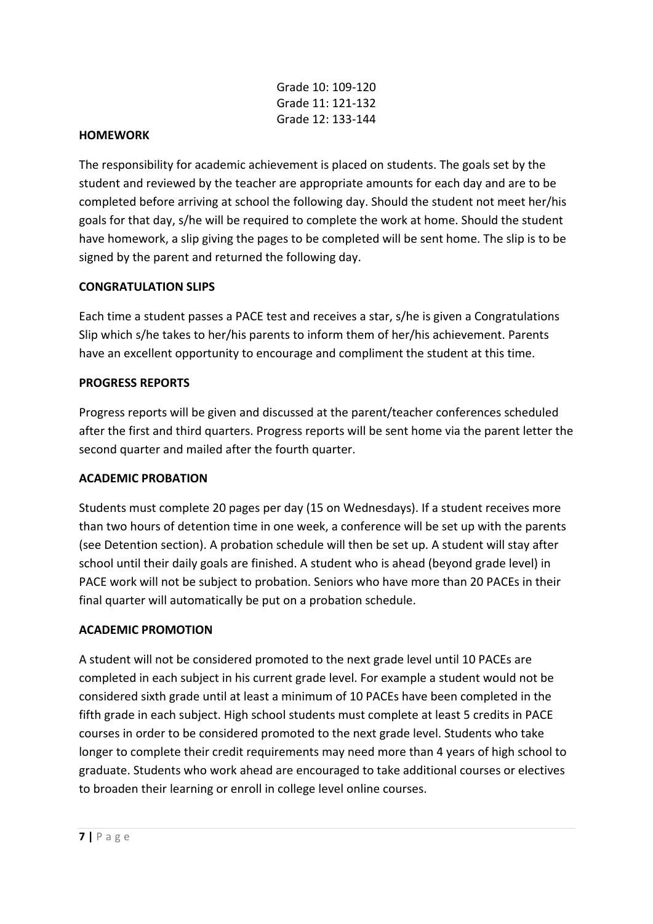|  | Grade 10: 109-120 |
|--|-------------------|
|  | Grade 11: 121-132 |
|  | Grade 12: 133-144 |

#### **HOMEWORK**

The responsibility for academic achievement is placed on students. The goals set by the student and reviewed by the teacher are appropriate amounts for each day and are to be completed before arriving at school the following day. Should the student not meet her/his goals for that day, s/he will be required to complete the work at home. Should the student have homework, a slip giving the pages to be completed will be sent home. The slip is to be signed by the parent and returned the following day.

#### **CONGRATULATION SLIPS**

Each time a student passes a PACE test and receives a star, s/he is given a Congratulations Slip which s/he takes to her/his parents to inform them of her/his achievement. Parents have an excellent opportunity to encourage and compliment the student at this time.

#### **PROGRESS REPORTS**

Progress reports will be given and discussed at the parent/teacher conferences scheduled after the first and third quarters. Progress reports will be sent home via the parent letter the second quarter and mailed after the fourth quarter.

#### **ACADEMIC PROBATION**

Students must complete 20 pages per day (15 on Wednesdays). If a student receives more than two hours of detention time in one week, a conference will be set up with the parents (see Detention section). A probation schedule will then be set up. A student will stay after school until their daily goals are finished. A student who is ahead (beyond grade level) in PACE work will not be subject to probation. Seniors who have more than 20 PACEs in their final quarter will automatically be put on a probation schedule.

#### **ACADEMIC PROMOTION**

A student will not be considered promoted to the next grade level until 10 PACEs are completed in each subject in his current grade level. For example a student would not be considered sixth grade until at least a minimum of 10 PACEs have been completed in the fifth grade in each subject. High school students must complete at least 5 credits in PACE courses in order to be considered promoted to the next grade level. Students who take longer to complete their credit requirements may need more than 4 years of high school to graduate. Students who work ahead are encouraged to take additional courses or electives to broaden their learning or enroll in college level online courses.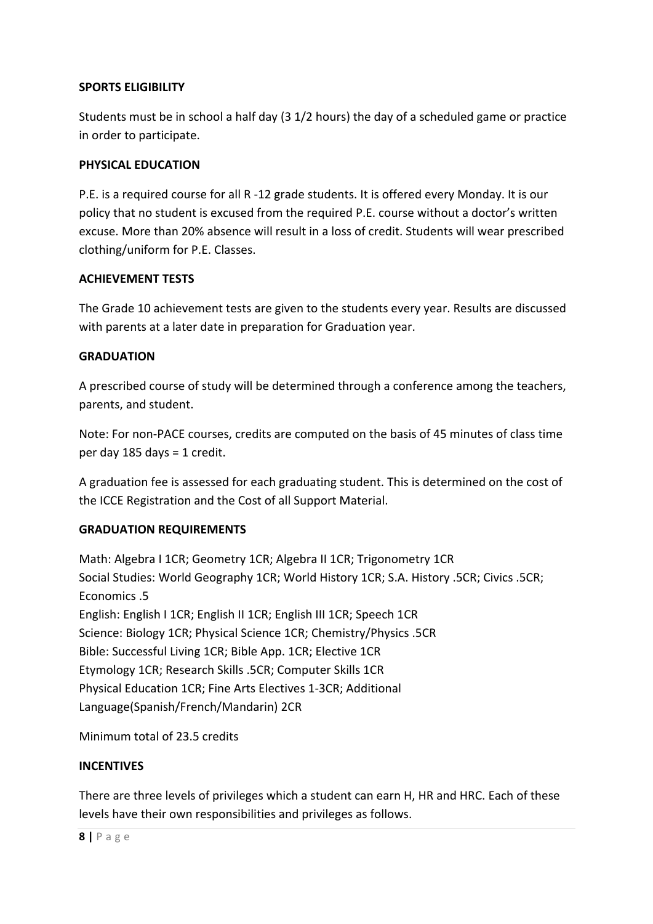# **SPORTS ELIGIBILITY**

Students must be in school a half day (3 1/2 hours) the day of a scheduled game or practice in order to participate.

#### **PHYSICAL EDUCATION**

P.E. is a required course for all R -12 grade students. It is offered every Monday. It is our policy that no student is excused from the required P.E. course without a doctor's written excuse. More than 20% absence will result in a loss of credit. Students will wear prescribed clothing/uniform for P.E. Classes.

#### **ACHIEVEMENT TESTS**

The Grade 10 achievement tests are given to the students every year. Results are discussed with parents at a later date in preparation for Graduation year.

#### **GRADUATION**

A prescribed course of study will be determined through a conference among the teachers, parents, and student.

Note: For non-PACE courses, credits are computed on the basis of 45 minutes of class time per day 185 days = 1 credit.

A graduation fee is assessed for each graduating student. This is determined on the cost of the ICCE Registration and the Cost of all Support Material.

# **GRADUATION REQUIREMENTS**

Math: Algebra I 1CR; Geometry 1CR; Algebra II 1CR; Trigonometry 1CR Social Studies: World Geography 1CR; World History 1CR; S.A. History .5CR; Civics .5CR; Economics .5 English: English I 1CR; English II 1CR; English III 1CR; Speech 1CR Science: Biology 1CR; Physical Science 1CR; Chemistry/Physics .5CR Bible: Successful Living 1CR; Bible App. 1CR; Elective 1CR Etymology 1CR; Research Skills .5CR; Computer Skills 1CR Physical Education 1CR; Fine Arts Electives 1-3CR; Additional Language(Spanish/French/Mandarin) 2CR

Minimum total of 23.5 credits

# **INCENTIVES**

There are three levels of privileges which a student can earn H, HR and HRC. Each of these levels have their own responsibilities and privileges as follows.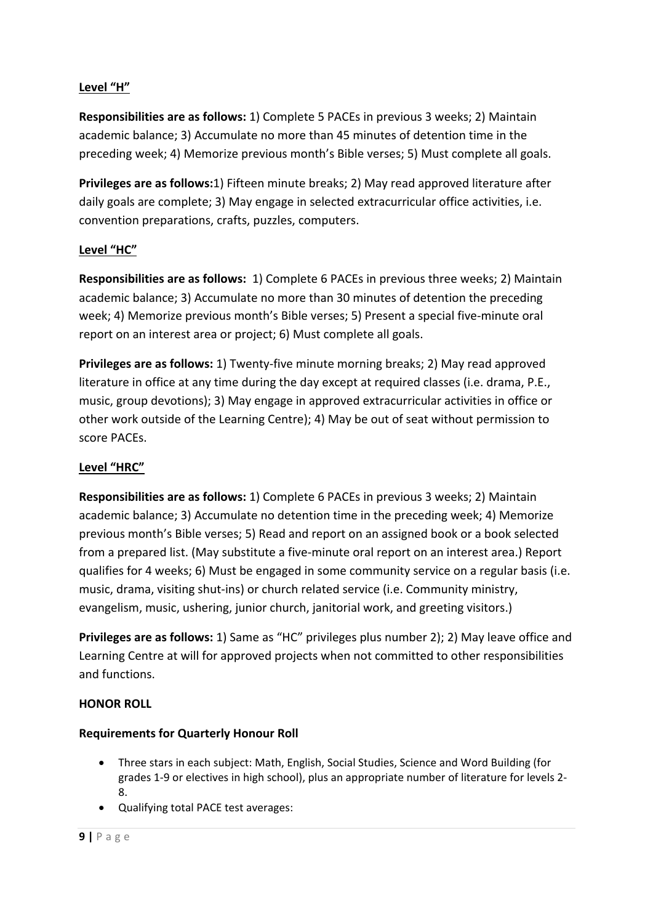# **Level "H"**

**Responsibilities are as follows:** 1) Complete 5 PACEs in previous 3 weeks; 2) Maintain academic balance; 3) Accumulate no more than 45 minutes of detention time in the preceding week; 4) Memorize previous month's Bible verses; 5) Must complete all goals.

**Privileges are as follows:**1) Fifteen minute breaks; 2) May read approved literature after daily goals are complete; 3) May engage in selected extracurricular office activities, i.e. convention preparations, crafts, puzzles, computers.

# **Level "HC"**

**Responsibilities are as follows:** 1) Complete 6 PACEs in previous three weeks; 2) Maintain academic balance; 3) Accumulate no more than 30 minutes of detention the preceding week; 4) Memorize previous month's Bible verses; 5) Present a special five-minute oral report on an interest area or project; 6) Must complete all goals.

**Privileges are as follows:** 1) Twenty-five minute morning breaks; 2) May read approved literature in office at any time during the day except at required classes (i.e. drama, P.E., music, group devotions); 3) May engage in approved extracurricular activities in office or other work outside of the Learning Centre); 4) May be out of seat without permission to score PACEs.

# **Level "HRC"**

**Responsibilities are as follows:** 1) Complete 6 PACEs in previous 3 weeks; 2) Maintain academic balance; 3) Accumulate no detention time in the preceding week; 4) Memorize previous month's Bible verses; 5) Read and report on an assigned book or a book selected from a prepared list. (May substitute a five-minute oral report on an interest area.) Report qualifies for 4 weeks; 6) Must be engaged in some community service on a regular basis (i.e. music, drama, visiting shut-ins) or church related service (i.e. Community ministry, evangelism, music, ushering, junior church, janitorial work, and greeting visitors.)

**Privileges are as follows:** 1) Same as "HC" privileges plus number 2); 2) May leave office and Learning Centre at will for approved projects when not committed to other responsibilities and functions.

# **HONOR ROLL**

#### **Requirements for Quarterly Honour Roll**

- Three stars in each subject: Math, English, Social Studies, Science and Word Building (for grades 1-9 or electives in high school), plus an appropriate number of literature for levels 2- 8.
- Qualifying total PACE test averages: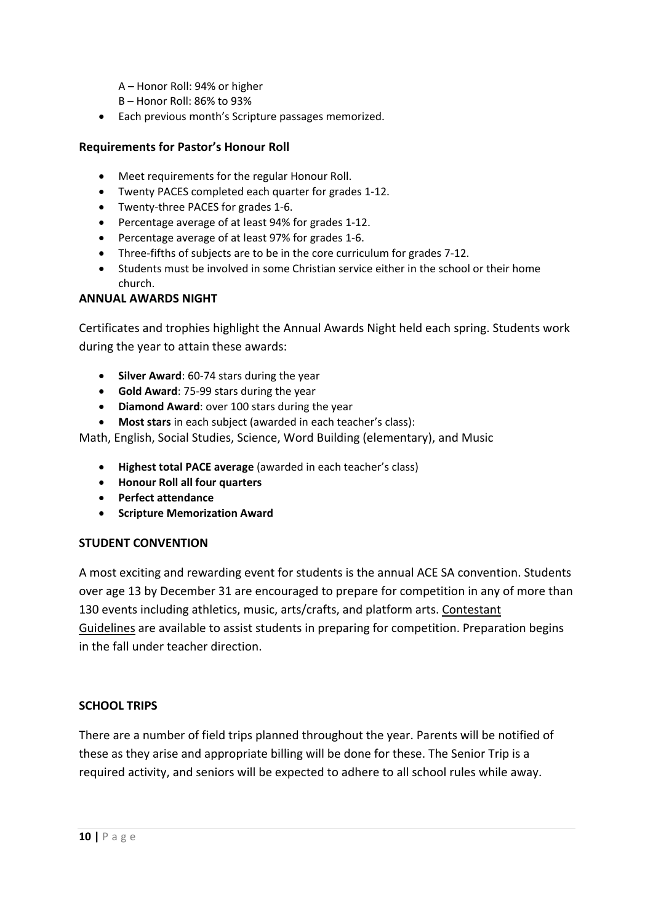A – Honor Roll: 94% or higher

B – Honor Roll: 86% to 93%

• Each previous month's Scripture passages memorized.

# **Requirements for Pastor's Honour Roll**

- Meet requirements for the regular Honour Roll.
- Twenty PACES completed each quarter for grades 1-12.
- Twenty-three PACES for grades 1-6.
- Percentage average of at least 94% for grades 1-12.
- Percentage average of at least 97% for grades 1-6.
- Three-fifths of subjects are to be in the core curriculum for grades 7-12.
- Students must be involved in some Christian service either in the school or their home church.

#### **ANNUAL AWARDS NIGHT**

Certificates and trophies highlight the Annual Awards Night held each spring. Students work during the year to attain these awards:

- **Silver Award**: 60-74 stars during the year
- **Gold Award**: 75-99 stars during the year
- **Diamond Award**: over 100 stars during the year
- **Most stars** in each subject (awarded in each teacher's class):

Math, English, Social Studies, Science, Word Building (elementary), and Music

- **Highest total PACE average** (awarded in each teacher's class)
- **Honour Roll all four quarters**
- **Perfect attendance**
- **Scripture Memorization Award**

#### **STUDENT CONVENTION**

A most exciting and rewarding event for students is the annual ACE SA convention. Students over age 13 by December 31 are encouraged to prepare for competition in any of more than 130 events including athletics, music, arts/crafts, and platform arts. Contestant Guidelines are available to assist students in preparing for competition. Preparation begins in the fall under teacher direction.

# **SCHOOL TRIPS**

There are a number of field trips planned throughout the year. Parents will be notified of these as they arise and appropriate billing will be done for these. The Senior Trip is a required activity, and seniors will be expected to adhere to all school rules while away.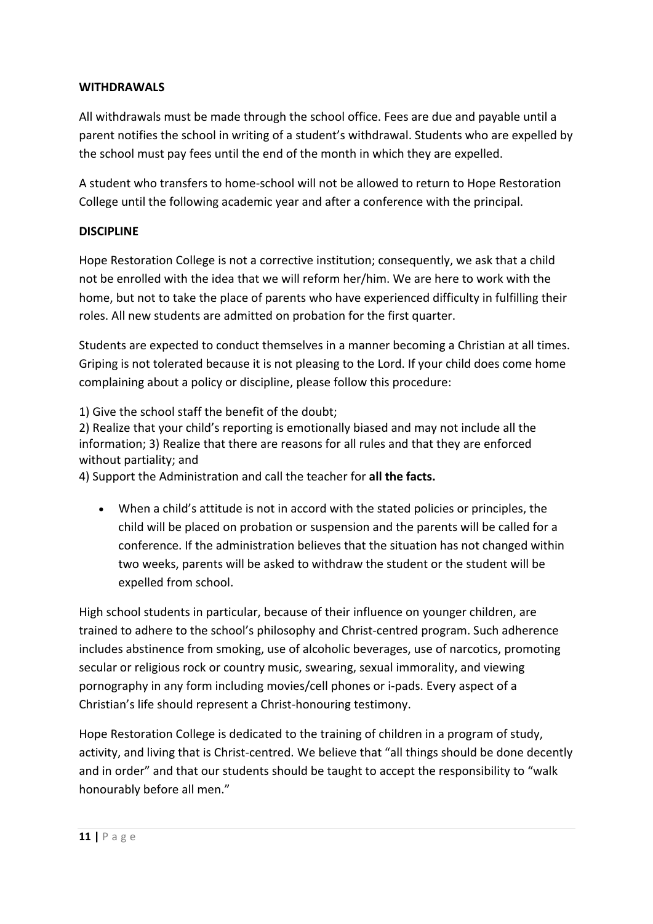# **WITHDRAWALS**

All withdrawals must be made through the school office. Fees are due and payable until a parent notifies the school in writing of a student's withdrawal. Students who are expelled by the school must pay fees until the end of the month in which they are expelled.

A student who transfers to home-school will not be allowed to return to Hope Restoration College until the following academic year and after a conference with the principal.

#### **DISCIPLINE**

Hope Restoration College is not a corrective institution; consequently, we ask that a child not be enrolled with the idea that we will reform her/him. We are here to work with the home, but not to take the place of parents who have experienced difficulty in fulfilling their roles. All new students are admitted on probation for the first quarter.

Students are expected to conduct themselves in a manner becoming a Christian at all times. Griping is not tolerated because it is not pleasing to the Lord. If your child does come home complaining about a policy or discipline, please follow this procedure:

1) Give the school staff the benefit of the doubt;

2) Realize that your child's reporting is emotionally biased and may not include all the information; 3) Realize that there are reasons for all rules and that they are enforced without partiality; and

4) Support the Administration and call the teacher for **all the facts.**

• When a child's attitude is not in accord with the stated policies or principles, the child will be placed on probation or suspension and the parents will be called for a conference. If the administration believes that the situation has not changed within two weeks, parents will be asked to withdraw the student or the student will be expelled from school.

High school students in particular, because of their influence on younger children, are trained to adhere to the school's philosophy and Christ-centred program. Such adherence includes abstinence from smoking, use of alcoholic beverages, use of narcotics, promoting secular or religious rock or country music, swearing, sexual immorality, and viewing pornography in any form including movies/cell phones or i-pads. Every aspect of a Christian's life should represent a Christ-honouring testimony.

Hope Restoration College is dedicated to the training of children in a program of study, activity, and living that is Christ-centred. We believe that "all things should be done decently and in order" and that our students should be taught to accept the responsibility to "walk honourably before all men."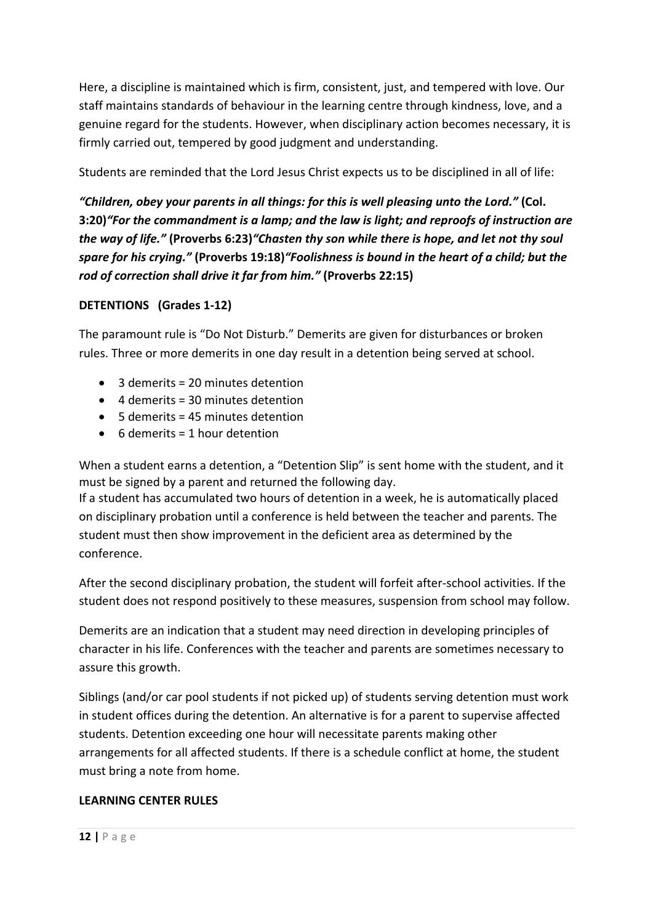Here, a discipline is maintained which is firm, consistent, just, and tempered with love. Our staff maintains standards of behaviour in the learning centre through kindness, love, and a genuine regard for the students. However, when disciplinary action becomes necessary, it is firmly carried out, tempered by good judgment and understanding.

Students are reminded that the Lord Jesus Christ expects us to be disciplined in all of life:

*"Children, obey your parents in all things: for this is well pleasing unto the Lord."* **(Col. 3:20)***"For the commandment is a lamp; and the law is light; and reproofs of instruction are the way of life."* **(Proverbs 6:23)***"Chasten thy son while there is hope, and let not thy soul spare for his crying."* **(Proverbs 19:18)***"Foolishness is bound in the heart of a child; but the rod of correction shall drive it far from him."* **(Proverbs 22:15)**

# **DETENTIONS (Grades 1-12)**

The paramount rule is "Do Not Disturb." Demerits are given for disturbances or broken rules. Three or more demerits in one day result in a detention being served at school.

- 3 demerits = 20 minutes detention
- 4 demerits = 30 minutes detention
- 5 demerits = 45 minutes detention
- 6 demerits = 1 hour detention

When a student earns a detention, a "Detention Slip" is sent home with the student, and it must be signed by a parent and returned the following day. If a student has accumulated two hours of detention in a week, he is automatically placed

on disciplinary probation until a conference is held between the teacher and parents. The student must then show improvement in the deficient area as determined by the conference.

After the second disciplinary probation, the student will forfeit after-school activities. If the student does not respond positively to these measures, suspension from school may follow.

Demerits are an indication that a student may need direction in developing principles of character in his life. Conferences with the teacher and parents are sometimes necessary to assure this growth.

Siblings (and/or car pool students if not picked up) of students serving detention must work in student offices during the detention. An alternative is for a parent to supervise affected students. Detention exceeding one hour will necessitate parents making other arrangements for all affected students. If there is a schedule conflict at home, the student must bring a note from home.

# **LEARNING CENTER RULES**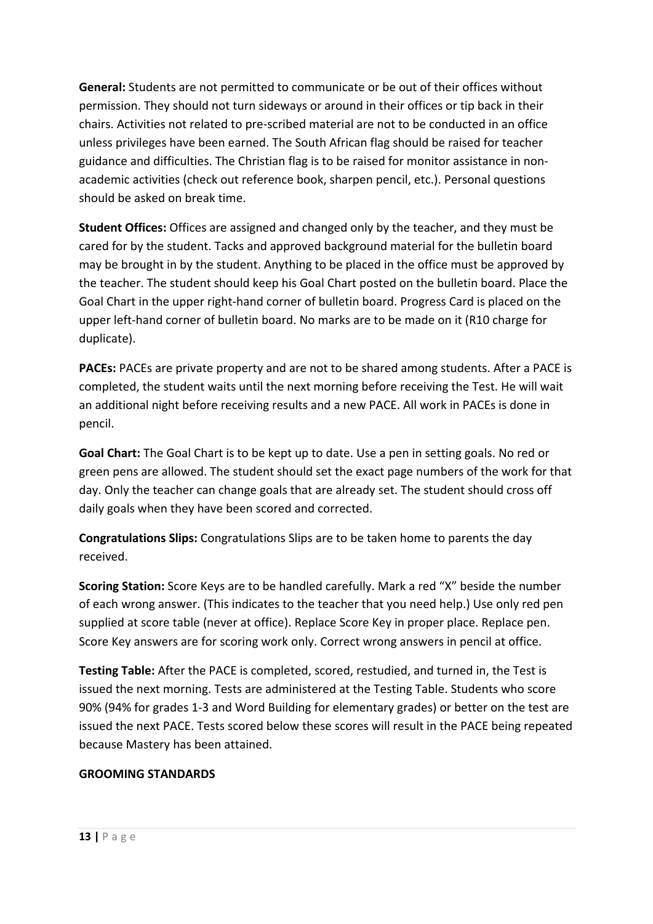**General:** Students are not permitted to communicate or be out of their offices without permission. They should not turn sideways or around in their offices or tip back in their chairs. Activities not related to pre-scribed material are not to be conducted in an office unless privileges have been earned. The South African flag should be raised for teacher guidance and difficulties. The Christian flag is to be raised for monitor assistance in nonacademic activities (check out reference book, sharpen pencil, etc.). Personal questions should be asked on break time.

**Student Offices:** Offices are assigned and changed only by the teacher, and they must be cared for by the student. Tacks and approved background material for the bulletin board may be brought in by the student. Anything to be placed in the office must be approved by the teacher. The student should keep his Goal Chart posted on the bulletin board. Place the Goal Chart in the upper right-hand corner of bulletin board. Progress Card is placed on the upper left-hand corner of bulletin board. No marks are to be made on it (R10 charge for duplicate).

**PACEs:** PACEs are private property and are not to be shared among students. After a PACE is completed, the student waits until the next morning before receiving the Test. He will wait an additional night before receiving results and a new PACE. All work in PACEs is done in pencil.

**Goal Chart:** The Goal Chart is to be kept up to date. Use a pen in setting goals. No red or green pens are allowed. The student should set the exact page numbers of the work for that day. Only the teacher can change goals that are already set. The student should cross off daily goals when they have been scored and corrected.

**Congratulations Slips:** Congratulations Slips are to be taken home to parents the day received.

**Scoring Station:** Score Keys are to be handled carefully. Mark a red "X" beside the number of each wrong answer. (This indicates to the teacher that you need help.) Use only red pen supplied at score table (never at office). Replace Score Key in proper place. Replace pen. Score Key answers are for scoring work only. Correct wrong answers in pencil at office.

**Testing Table:** After the PACE is completed, scored, restudied, and turned in, the Test is issued the next morning. Tests are administered at the Testing Table. Students who score 90% (94% for grades 1-3 and Word Building for elementary grades) or better on the test are issued the next PACE. Tests scored below these scores will result in the PACE being repeated because Mastery has been attained.

# **GROOMING STANDARDS**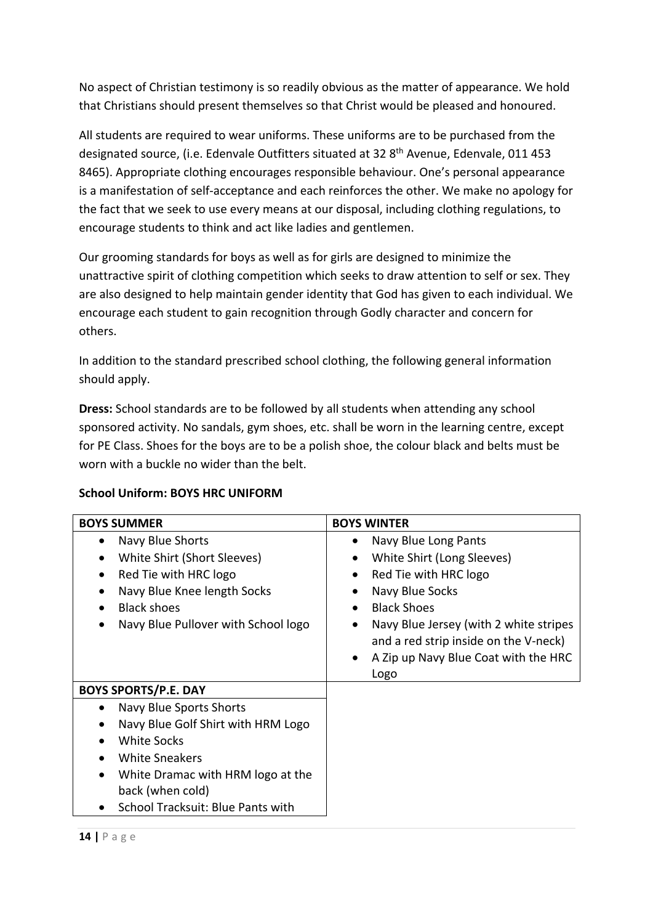No aspect of Christian testimony is so readily obvious as the matter of appearance. We hold that Christians should present themselves so that Christ would be pleased and honoured.

All students are required to wear uniforms. These uniforms are to be purchased from the designated source, (i.e. Edenvale Outfitters situated at 32 8<sup>th</sup> Avenue, Edenvale, 011 453 8465). Appropriate clothing encourages responsible behaviour. One's personal appearance is a manifestation of self-acceptance and each reinforces the other. We make no apology for the fact that we seek to use every means at our disposal, including clothing regulations, to encourage students to think and act like ladies and gentlemen.

Our grooming standards for boys as well as for girls are designed to minimize the unattractive spirit of clothing competition which seeks to draw attention to self or sex. They are also designed to help maintain gender identity that God has given to each individual. We encourage each student to gain recognition through Godly character and concern for others.

In addition to the standard prescribed school clothing, the following general information should apply.

**Dress:** School standards are to be followed by all students when attending any school sponsored activity. No sandals, gym shoes, etc. shall be worn in the learning centre, except for PE Class. Shoes for the boys are to be a polish shoe, the colour black and belts must be worn with a buckle no wider than the belt.

| <b>BOYS SUMMER</b>                                                                                                                                                                                                                                                   | <b>BOYS WINTER</b>                                                                                                                                                                                                                                                                                                                    |
|----------------------------------------------------------------------------------------------------------------------------------------------------------------------------------------------------------------------------------------------------------------------|---------------------------------------------------------------------------------------------------------------------------------------------------------------------------------------------------------------------------------------------------------------------------------------------------------------------------------------|
| Navy Blue Shorts<br>$\bullet$<br>White Shirt (Short Sleeves)<br>$\bullet$<br>Red Tie with HRC logo<br>$\bullet$<br>Navy Blue Knee length Socks<br>$\bullet$<br><b>Black shoes</b><br>$\bullet$<br>Navy Blue Pullover with School logo<br>$\bullet$                   | Navy Blue Long Pants<br>$\bullet$<br>White Shirt (Long Sleeves)<br>$\bullet$<br>Red Tie with HRC logo<br>$\bullet$<br>Navy Blue Socks<br><b>Black Shoes</b><br>$\bullet$<br>Navy Blue Jersey (with 2 white stripes<br>$\bullet$<br>and a red strip inside on the V-neck)<br>A Zip up Navy Blue Coat with the HRC<br>$\bullet$<br>Logo |
| <b>BOYS SPORTS/P.E. DAY</b>                                                                                                                                                                                                                                          |                                                                                                                                                                                                                                                                                                                                       |
| Navy Blue Sports Shorts<br>$\bullet$<br>Navy Blue Golf Shirt with HRM Logo<br>$\bullet$<br>White Socks<br>$\bullet$<br><b>White Sneakers</b><br>$\bullet$<br>White Dramac with HRM logo at the<br>$\bullet$<br>back (when cold)<br>School Tracksuit: Blue Pants with |                                                                                                                                                                                                                                                                                                                                       |

# **School Uniform: BOYS HRC UNIFORM**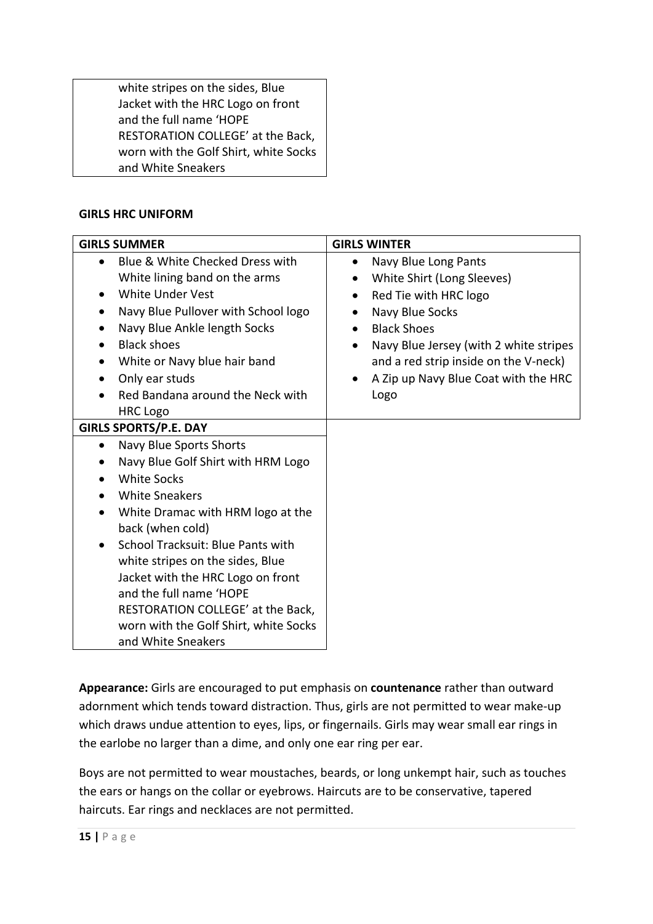white stripes on the sides, Blue Jacket with the HRC Logo on front and the full name 'HOPE RESTORATION COLLEGE' at the Back, worn with the Golf Shirt, white Socks and White Sneakers

# **GIRLS HRC UNIFORM**

| <b>GIRLS SUMMER</b>                                                                                                                                                                                                                                                                                                                                                                                                                                                                 | <b>GIRLS WINTER</b>                                                                                                                                                                                                                                                                                         |
|-------------------------------------------------------------------------------------------------------------------------------------------------------------------------------------------------------------------------------------------------------------------------------------------------------------------------------------------------------------------------------------------------------------------------------------------------------------------------------------|-------------------------------------------------------------------------------------------------------------------------------------------------------------------------------------------------------------------------------------------------------------------------------------------------------------|
| Blue & White Checked Dress with<br>$\bullet$<br>White lining band on the arms<br>White Under Vest<br>$\bullet$<br>Navy Blue Pullover with School logo<br>$\bullet$<br>Navy Blue Ankle length Socks<br>$\bullet$<br><b>Black shoes</b><br>$\bullet$<br>White or Navy blue hair band<br>$\bullet$<br>Only ear studs<br>$\bullet$<br>Red Bandana around the Neck with<br><b>HRC Logo</b>                                                                                               | Navy Blue Long Pants<br>$\bullet$<br>White Shirt (Long Sleeves)<br>Red Tie with HRC logo<br>$\bullet$<br>Navy Blue Socks<br><b>Black Shoes</b><br>$\bullet$<br>Navy Blue Jersey (with 2 white stripes<br>$\bullet$<br>and a red strip inside on the V-neck)<br>A Zip up Navy Blue Coat with the HRC<br>Logo |
| <b>GIRLS SPORTS/P.E. DAY</b>                                                                                                                                                                                                                                                                                                                                                                                                                                                        |                                                                                                                                                                                                                                                                                                             |
| Navy Blue Sports Shorts<br>$\bullet$<br>Navy Blue Golf Shirt with HRM Logo<br>$\bullet$<br><b>White Socks</b><br>$\bullet$<br><b>White Sneakers</b><br>White Dramac with HRM logo at the<br>$\bullet$<br>back (when cold)<br>School Tracksuit: Blue Pants with<br>$\bullet$<br>white stripes on the sides, Blue<br>Jacket with the HRC Logo on front<br>and the full name 'HOPE<br>RESTORATION COLLEGE' at the Back,<br>worn with the Golf Shirt, white Socks<br>and White Sneakers |                                                                                                                                                                                                                                                                                                             |

**Appearance:** Girls are encouraged to put emphasis on **countenance** rather than outward adornment which tends toward distraction. Thus, girls are not permitted to wear make-up which draws undue attention to eyes, lips, or fingernails. Girls may wear small ear rings in the earlobe no larger than a dime, and only one ear ring per ear.

Boys are not permitted to wear moustaches, beards, or long unkempt hair, such as touches the ears or hangs on the collar or eyebrows. Haircuts are to be conservative, tapered haircuts. Ear rings and necklaces are not permitted.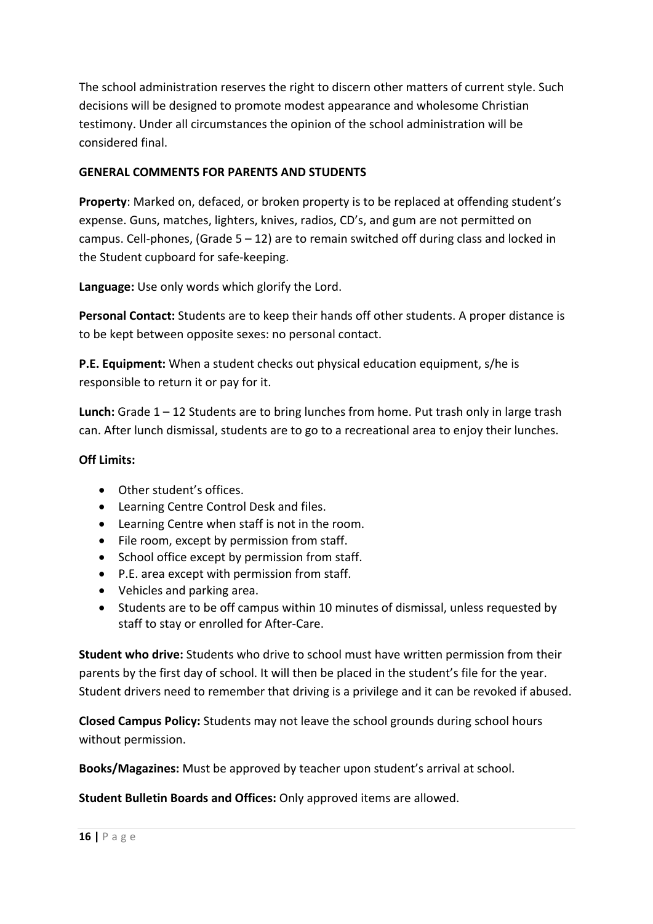The school administration reserves the right to discern other matters of current style. Such decisions will be designed to promote modest appearance and wholesome Christian testimony. Under all circumstances the opinion of the school administration will be considered final.

# **GENERAL COMMENTS FOR PARENTS AND STUDENTS**

**Property**: Marked on, defaced, or broken property is to be replaced at offending student's expense. Guns, matches, lighters, knives, radios, CD's, and gum are not permitted on campus. Cell-phones, (Grade  $5 - 12$ ) are to remain switched off during class and locked in the Student cupboard for safe-keeping.

**Language:** Use only words which glorify the Lord.

**Personal Contact:** Students are to keep their hands off other students. A proper distance is to be kept between opposite sexes: no personal contact.

**P.E. Equipment:** When a student checks out physical education equipment, s/he is responsible to return it or pay for it.

**Lunch:** Grade 1 – 12 Students are to bring lunches from home. Put trash only in large trash can. After lunch dismissal, students are to go to a recreational area to enjoy their lunches.

## **Off Limits:**

- Other student's offices.
- Learning Centre Control Desk and files.
- Learning Centre when staff is not in the room.
- File room, except by permission from staff.
- School office except by permission from staff.
- P.E. area except with permission from staff.
- Vehicles and parking area.
- Students are to be off campus within 10 minutes of dismissal, unless requested by staff to stay or enrolled for After-Care.

**Student who drive:** Students who drive to school must have written permission from their parents by the first day of school. It will then be placed in the student's file for the year. Student drivers need to remember that driving is a privilege and it can be revoked if abused.

**Closed Campus Policy:** Students may not leave the school grounds during school hours without permission.

**Books/Magazines:** Must be approved by teacher upon student's arrival at school.

**Student Bulletin Boards and Offices:** Only approved items are allowed.